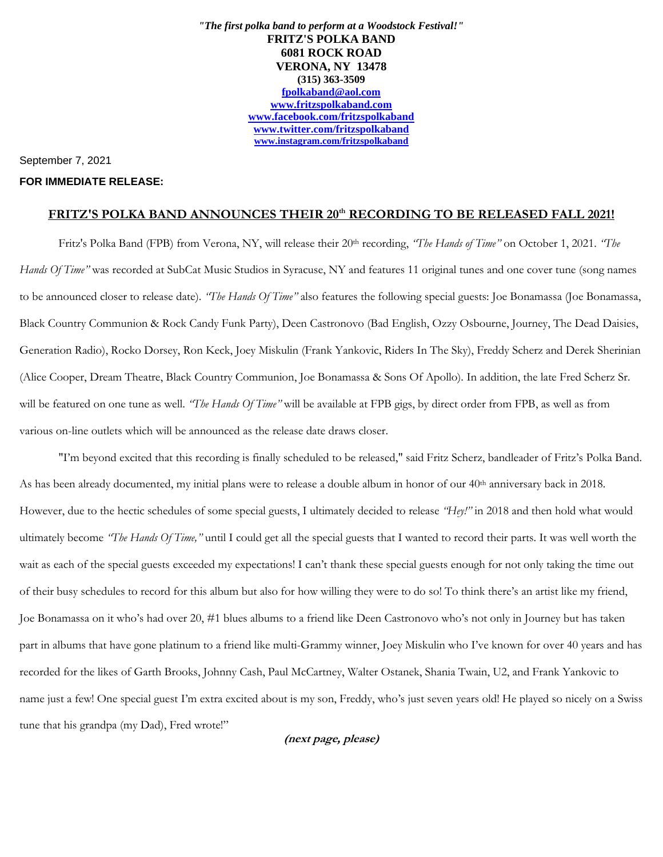*"The first polka band to perform at a Woodstock Festival!"* **FRITZ'S POLKA BAND 6081 ROCK ROAD VERONA, NY 13478 (315) 363-3509 [fpolkaband@aol.com](mailto:fpolkaband@aol.com) [www.fritzspolkaband.com](http://www.fritzspolkaband.com/) [www.facebook.com/fritzspolkaband](http://www.facebook.com/fritzspolkaband) [www.twitter.com/fritzspolkaband](http://www.twitter.com/fritzspolkaband) [www.instagram.com/fritzspolkaband](http://www.instagram.com/fritzspolkaband)**

## September 7, 2021

## **FOR IMMEDIATE RELEASE:**

## **FRITZ'S POLKA BAND ANNOUNCES THEIR 20th RECORDING TO BE RELEASED FALL 2021!**

Fritz's Polka Band (FPB) from Verona, NY, will release their 20th recording, *"The Hands of Time"* on October 1, 2021. *"The Hands Of Time"* was recorded at SubCat Music Studios in Syracuse, NY and features 11 original tunes and one cover tune (song names to be announced closer to release date). *"The Hands Of Time"* also features the following special guests: Joe Bonamassa (Joe Bonamassa, Black Country Communion & Rock Candy Funk Party), Deen Castronovo (Bad English, Ozzy Osbourne, Journey, The Dead Daisies, Generation Radio), Rocko Dorsey, Ron Keck, Joey Miskulin (Frank Yankovic, Riders In The Sky), Freddy Scherz and Derek Sherinian (Alice Cooper, Dream Theatre, Black Country Communion, Joe Bonamassa & Sons Of Apollo). In addition, the late Fred Scherz Sr. will be featured on one tune as well. *"The Hands Of Time"* will be available at FPB gigs, by direct order from FPB, as well as from various on-line outlets which will be announced as the release date draws closer.

"I'm beyond excited that this recording is finally scheduled to be released," said Fritz Scherz, bandleader of Fritz's Polka Band. As has been already documented, my initial plans were to release a double album in honor of our  $40<sup>th</sup>$  anniversary back in 2018. However, due to the hectic schedules of some special guests, I ultimately decided to release *"Hey!"* in 2018 and then hold what would ultimately become *"The Hands Of Time,"* until I could get all the special guests that I wanted to record their parts. It was well worth the wait as each of the special guests exceeded my expectations! I can't thank these special guests enough for not only taking the time out of their busy schedules to record for this album but also for how willing they were to do so! To think there's an artist like my friend, Joe Bonamassa on it who's had over 20, #1 blues albums to a friend like Deen Castronovo who's not only in Journey but has taken part in albums that have gone platinum to a friend like multi-Grammy winner, Joey Miskulin who I've known for over 40 years and has recorded for the likes of Garth Brooks, Johnny Cash, Paul McCartney, Walter Ostanek, Shania Twain, U2, and Frank Yankovic to name just a few! One special guest I'm extra excited about is my son, Freddy, who's just seven years old! He played so nicely on a Swiss tune that his grandpa (my Dad), Fred wrote!"

## **(next page, please)**